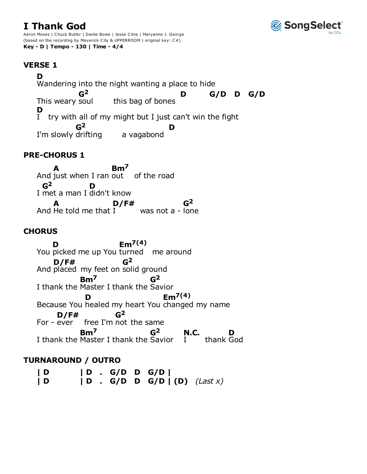# **I Thank God**



Aaron Moses | Chuck Butler | Dante Bowe | Jesse Cline | Maryanne J. George (based on the recording by Maverick City & UPPERROOM | original key: C#) **Key - D | Tempo - 130 | Time - 4/4**

## **VERSE 1**

Wandering into the night wanting a place to hide this bag of bones try with all of my might but I just can't win the fight I'm slowly drifting a vagabond **D** This weary soul **G2 D G/D D G/D** I **D G2 D**

## **PRE-CHORUS 1**

And just when I ran out of the road I met a man I didn't know And He told me that  $I^{\prime}$  was not a - lone **A Bm7 G2 D A D/F# G2**

## **CHORUS**

You picked me up You turned me around And placed my feet on solid ground I thank the Master I thank the Savior Because You healed my heart You changed my name For -  $e^{\gamma}$  free I'm not the same I thank the Master I thank the Savior I thank **D Em7(4) D/F# G2 Bm7 G2 D Em7(4)** For - ever **D/F# G2 Bm7 G2** I **N.C.** thank God **D**

## **TURNAROUND / OUTRO**

**| D | D . G/D D G/D | | D | D . G/D D G/D | (D)** *(Last x)*